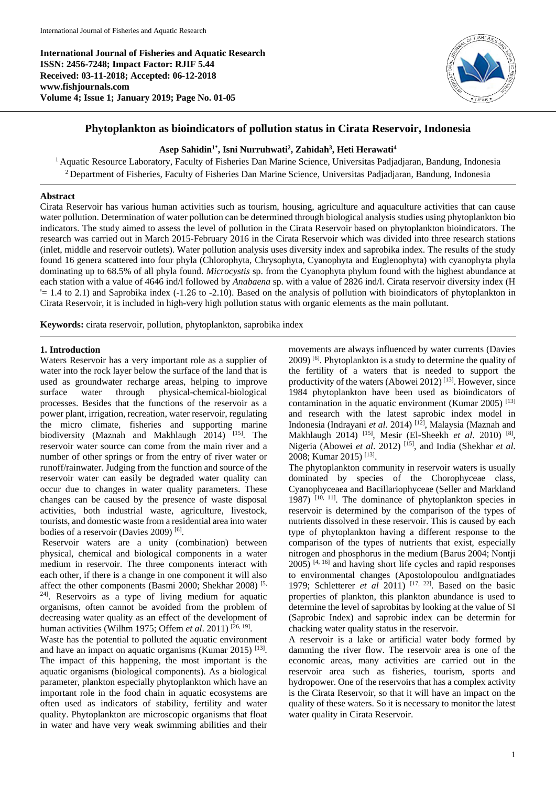**International Journal of Fisheries and Aquatic Research ISSN: 2456-7248; Impact Factor: RJIF 5.44 Received: 03-11-2018; Accepted: 06-12-2018 www.fishjournals.com Volume 4; Issue 1; January 2019; Page No. 01-05**



# **Phytoplankton as bioindicators of pollution status in Cirata Reservoir, Indonesia**

### **Asep Sahidin1\* , Isni Nurruhwati<sup>2</sup> , Zahidah<sup>3</sup> , Heti Herawati<sup>4</sup>**

<sup>1</sup> Aquatic Resource Laboratory, Faculty of Fisheries Dan Marine Science, Universitas Padjadjaran, Bandung, Indonesia <sup>2</sup> Department of Fisheries, Faculty of Fisheries Dan Marine Science, Universitas Padjadjaran, Bandung, Indonesia

### **Abstract**

Cirata Reservoir has various human activities such as tourism, housing, agriculture and aquaculture activities that can cause water pollution. Determination of water pollution can be determined through biological analysis studies using phytoplankton bio indicators. The study aimed to assess the level of pollution in the Cirata Reservoir based on phytoplankton bioindicators. The research was carried out in March 2015-February 2016 in the Cirata Reservoir which was divided into three research stations (inlet, middle and reservoir outlets). Water pollution analysis uses diversity index and saprobika index. The results of the study found 16 genera scattered into four phyla (Chlorophyta, Chrysophyta, Cyanophyta and Euglenophyta) with cyanophyta phyla dominating up to 68.5% of all phyla found. *Microcystis* sp. from the Cyanophyta phylum found with the highest abundance at each station with a value of 4646 ind/l followed by *Anabaena* sp. with a value of 2826 ind/l. Cirata reservoir diversity index (H  $= 1.4$  to 2.1) and Saprobika index  $(-1.26$  to  $-2.10)$ . Based on the analysis of pollution with bioindicators of phytoplankton in Cirata Reservoir, it is included in high-very high pollution status with organic elements as the main pollutant.

**Keywords:** cirata reservoir, pollution, phytoplankton, saprobika index

### **1. Introduction**

Waters Reservoir has a very important role as a supplier of water into the rock layer below the surface of the land that is used as groundwater recharge areas, helping to improve surface water through physical-chemical-biological processes. Besides that the functions of the reservoir as a power plant, irrigation, recreation, water reservoir, regulating the micro climate, fisheries and supporting marine biodiversity (Maznah and Makhlaugh 2014)<sup>[15]</sup>. The reservoir water source can come from the main river and a number of other springs or from the entry of river water or runoff/rainwater. Judging from the function and source of the reservoir water can easily be degraded water quality can occur due to changes in water quality parameters. These changes can be caused by the presence of waste disposal activities, both industrial waste, agriculture, livestock, tourists, and domestic waste from a residential area into water bodies of a reservoir (Davies 2009)<sup>[6]</sup>.

Reservoir waters are a unity (combination) between physical, chemical and biological components in a water medium in reservoir. The three components interact with each other, if there is a change in one component it will also affect the other components (Basmi 2000; Shekhar 2008) [5, 24] . Reservoirs as a type of living medium for aquatic organisms, often cannot be avoided from the problem of decreasing water quality as an effect of the development of human activities (Wilhm 1975; Offem *et al.* 2011)<sup>[26, 19]</sup>.

Waste has the potential to polluted the aquatic environment and have an impact on aquatic organisms (Kumar 2015)  $^{[13]}$ . The impact of this happening, the most important is the aquatic organisms (biological components). As a biological parameter, plankton especially phytoplankton which have an important role in the food chain in aquatic ecosystems are often used as indicators of stability, fertility and water quality. Phytoplankton are microscopic organisms that float in water and have very weak swimming abilities and their

movements are always influenced by water currents (Davies 2009) [6]. Phytoplankton is a study to determine the quality of the fertility of a waters that is needed to support the productivity of the waters (Abowei 2012) [13]. However, since 1984 phytoplankton have been used as bioindicators of contamination in the aquatic environment (Kumar 2005)  $^{[13]}$ and research with the latest saprobic index model in Indonesia (Indrayani *et al*. 2014) [12], Malaysia (Maznah and Makhlaugh 2014) <sup>[15]</sup>, Mesir (El-Sheekh et al. 2010) <sup>[8]</sup>, Nigeria (Abowei *et al*. 2012) [15], and India (Shekhar *et al*. 2008; Kumar 2015)<sup>[13]</sup>.

The phytoplankton community in reservoir waters is usually dominated by species of the Chorophyceae class, Cyanophyceaea and Bacillariophyceae (Seller and Markland 1987) [10, 11]. The dominance of phytoplankton species in reservoir is determined by the comparison of the types of nutrients dissolved in these reservoir. This is caused by each type of phytoplankton having a different response to the comparison of the types of nutrients that exist, especially nitrogen and phosphorus in the medium (Barus 2004; Nontji 2005) [4, 16] and having short life cycles and rapid responses to environmental changes (Apostolopoulou andIgnatiades 1979; Schletterer *et al* 2011) [17, 22]. Based on the basic properties of plankton, this plankton abundance is used to determine the level of saprobitas by looking at the value of SI (Saprobic Index) and saprobic index can be determin for chacking water quality status in the reservoir.

A reservoir is a lake or artificial water body formed by damming the river flow. The reservoir area is one of the economic areas, many activities are carried out in the reservoir area such as fisheries, tourism, sports and hydropower. One of the reservoirs that has a complex activity is the Cirata Reservoir, so that it will have an impact on the quality of these waters. So it is necessary to monitor the latest water quality in Cirata Reservoir.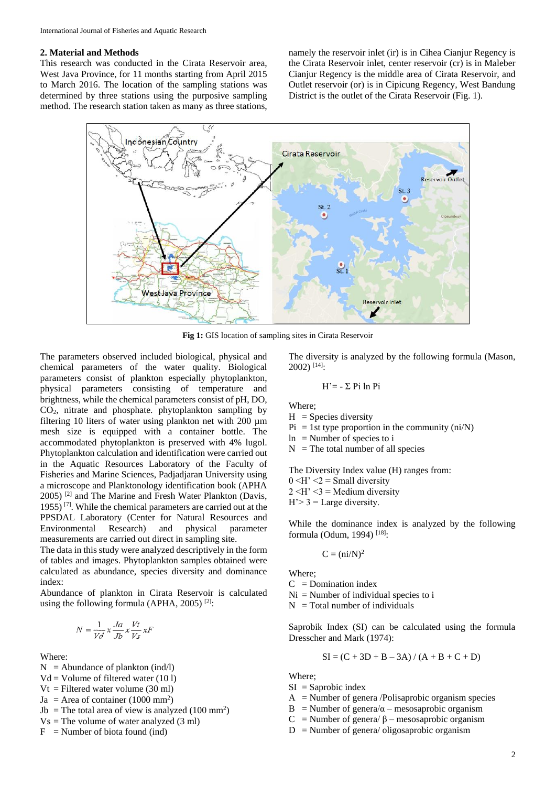#### **2. Material and Methods**

This research was conducted in the Cirata Reservoir area, West Java Province, for 11 months starting from April 2015 to March 2016. The location of the sampling stations was determined by three stations using the purposive sampling method. The research station taken as many as three stations, namely the reservoir inlet (ir) is in Cihea Cianjur Regency is the Cirata Reservoir inlet, center reservoir (cr) is in Maleber Cianjur Regency is the middle area of Cirata Reservoir, and Outlet reservoir (or) is in Cipicung Regency, West Bandung District is the outlet of the Cirata Reservoir (Fig. 1).



**Fig 1:** GIS location of sampling sites in Cirata Reservoir

The parameters observed included biological, physical and chemical parameters of the water quality. Biological parameters consist of plankton especially phytoplankton, physical parameters consisting of temperature and brightness, while the chemical parameters consist of pH, DO, CO2, nitrate and phosphate. phytoplankton sampling by filtering 10 liters of water using plankton net with 200 µm mesh size is equipped with a container bottle. The accommodated phytoplankton is preserved with 4% lugol. Phytoplankton calculation and identification were carried out in the Aquatic Resources Laboratory of the Faculty of Fisheries and Marine Sciences, Padjadjaran University using a microscope and Planktonology identification book (APHA 2005) [2] and The Marine and Fresh Water Plankton (Davis, 1955) [7]. While the chemical parameters are carried out at the PPSDAL Laboratory (Center for Natural Resources and Environmental Research) and physical parameter measurements are carried out direct in sampling site.

The data in this study were analyzed descriptively in the form of tables and images. Phytoplankton samples obtained were calculated as abundance, species diversity and dominance index:

Abundance of plankton in Cirata Reservoir is calculated using the following formula (APHA, 2005)  $[2]$ :

$$
N = \frac{1}{Vd} x \frac{Ja}{Jb} x \frac{Vt}{Vs} x l
$$

Where:

- $N =$  Abundance of plankton (ind/l)
- $Vd = V$ olume of filtered water (10 l)
- $Vt = Filtered water volume (30 ml)$
- $Ja = Area of container (1000 mm<sup>2</sup>)$
- Jb = The total area of view is analyzed  $(100 \text{ mm}^2)$
- $Vs = The volume of water analyzed (3 ml)$
- $F =$  Number of biota found (ind)

The diversity is analyzed by the following formula (Mason,  $2002$ ) [14]:

$$
H' = -\sum_i P_i \ln_i
$$

Where;

- $H =$  Species diversity
- $Pi = 1$ st type proportion in the community (ni/N)
- $ln =$  Number of species to i
- $N =$ The total number of all species

The Diversity Index value (H) ranges from:

- $0 \leq H' \leq 2$  = Small diversity
- $2 \leq H' \leq 3$  = Medium diversity

 $H' > 3 =$  Large diversity.

While the dominance index is analyzed by the following formula (Odum, 1994) [18]:

$$
C = (ni/N)^2
$$

Where;

 $C =$ Domination index

 $Ni =$  Number of individual species to i

 $N = Total number of individuals$ 

Saprobik Index (SI) can be calculated using the formula Dresscher and Mark (1974):

$$
SI = (C + 3D + B - 3A) / (A + B + C + D)
$$

Where;

- $SI =$ Saprobic index
- $A =$  Number of genera /Polisaprobic organism species
- B = Number of genera/ $\alpha$  mesosaprobic organism
- C = Number of genera/ $\beta$  mesosaprobic organism
- $D =$  Number of genera/ oligosaprobic organism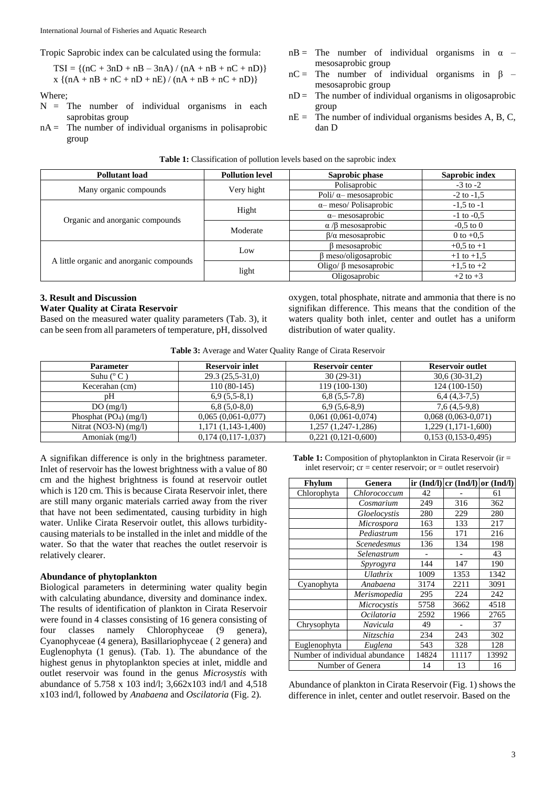Tropic Saprobic index can be calculated using the formula:

 $TSI = \{(nC + 3nD + nB - 3nA) / (nA + nB + nC + nD)\}\$  $x \{ (nA + nB + nC + nD + nE) / (nA + nB + nC + nD) \}$ 

Where;

- $N =$  The number of individual organisms in each saprobitas group
- $nA =$ The number of individual organisms in polisaprobic group
- $nB =$  The number of individual organisms in  $\alpha$  mesosaprobic group
- $nC =$  The number of individual organisms in  $\beta$  mesosaprobic group
- $nD =$  The number of individual organisms in oligosaprobic group
- $nE =$  The number of individual organisms besides A, B, C, dan D

| <b>Table 1:</b> Classification of pollution levels based on the saprobic index |  |  |
|--------------------------------------------------------------------------------|--|--|
|--------------------------------------------------------------------------------|--|--|

| <b>Pollutant load</b>                    | <b>Pollution level</b>                      | Saprobic phase                | Saprobic index                                                                                                                         |  |
|------------------------------------------|---------------------------------------------|-------------------------------|----------------------------------------------------------------------------------------------------------------------------------------|--|
| Many organic compounds                   |                                             | Polisaprobic                  | $-3$ to $-2$                                                                                                                           |  |
|                                          | Very hight                                  | Poli/ $\alpha$ – mesosaprobic | $-2$ to $-1.5$<br>$-1,5$ to $-1$<br>$-1$ to $-0.5$<br>$-0.5$ to 0<br>0 to $+0.5$<br>$+0.5$ to $+1$<br>$+1$ to $+1,5$<br>$+1,5$ to $+2$ |  |
| Organic and anorganic compounds          |                                             | $\alpha$ meso/ Polisaprobic   |                                                                                                                                        |  |
|                                          | Hight                                       | $\alpha$ mesosaprobic         |                                                                                                                                        |  |
|                                          | $\alpha$ / $\beta$ mesosaprobic<br>Moderate |                               |                                                                                                                                        |  |
|                                          |                                             | $\beta/\alpha$ mesosaprobic   | $+2$ to $+3$                                                                                                                           |  |
| A little organic and anorganic compounds | Low                                         | β mesosaprobic                |                                                                                                                                        |  |
|                                          |                                             | $\beta$ meso/oligosaprobic    |                                                                                                                                        |  |
|                                          |                                             | Oligo/ $\beta$ mesosaprobic   |                                                                                                                                        |  |
|                                          | light                                       | Oligosaprobic                 |                                                                                                                                        |  |

# **3. Result and Discussion**

# **Water Quality at Cirata Reservoir**

Based on the measured water quality parameters (Tab. 3), it can be seen from all parameters of temperature, pH, dissolved

oxygen, total phosphate, nitrate and ammonia that there is no signifikan difference. This means that the condition of the waters quality both inlet, center and outlet has a uniform distribution of water quality.

|  |  | Table 3: Average and Water Quality Range of Cirata Reservoir |  |  |  |  |
|--|--|--------------------------------------------------------------|--|--|--|--|
|--|--|--------------------------------------------------------------|--|--|--|--|

| <b>Parameter</b>        | <b>Reservoir inlet</b> | Reservoir center        | Reservoir outlet        |
|-------------------------|------------------------|-------------------------|-------------------------|
| Suhu $(^{\circ}C)$      | $29.3(25.5-31.0)$      | $30(29-31)$             | $30,6(30-31,2)$         |
| Kecerahan (cm)          | $110(80-145)$          | 119 (100-130)           | 124 (100-150)           |
| pΗ                      | $6,9(5,5-8,1)$         | $6,8(5,5-7,8)$          | $6,4(4,3-7,5)$          |
| DO(mg/l)                | $6,8(5,0-8,0)$         | $6,9(5,6-8,9)$          | $7,6(4,5-9,8)$          |
| Phosphat $(PO4) (mg/l)$ | $0.065(0.061-0.077)$   | $0,061(0,061-0,074)$    | $0,068(0,063-0,071)$    |
| Nitrat (NO3-N) $(mg/l)$ | $1,171(1,143-1,400)$   | $1,257$ $(1,247-1,286)$ | $1,229$ $(1,171-1,600)$ |
| Amoniak (mg/l)          | $0,174(0,117-1,037)$   | $0,221(0,121-0,600)$    | $0,153(0,153-0,495)$    |

A signifikan difference is only in the brightness parameter. Inlet of reservoir has the lowest brightness with a value of 80 cm and the highest brightness is found at reservoir outlet which is 120 cm. This is because Cirata Reservoir inlet, there are still many organic materials carried away from the river that have not been sedimentated, causing turbidity in high water. Unlike Cirata Reservoir outlet, this allows turbiditycausing materials to be installed in the inlet and middle of the water. So that the water that reaches the outlet reservoir is relatively clearer.

## **Abundance of phytoplankton**

Biological parameters in determining water quality begin with calculating abundance, diversity and dominance index. The results of identification of plankton in Cirata Reservoir were found in 4 classes consisting of 16 genera consisting of four classes namely Chlorophyceae (9 genera), Cyanophyceae (4 genera), Basillariophyceae ( 2 genera) and Euglenophyta (1 genus). (Tab. 1). The abundance of the highest genus in phytoplankton species at inlet, middle and outlet reservoir was found in the genus *Microsystis* with abundance of 5.758 x 103 ind/l; 3,662x103 ind/l and 4,518 x103 ind/l, followed by *Anabaena* and *Oscilatoria* (Fig. 2).

**Table 1:** Composition of phytoplankton in Cirata Reservoir (ir = inlet reservoir;  $cr = center$  reservoir;  $or = outlet$  reservoir)

| Fhylum           | Genera                         |       | ir $(Ind/l)$ cr $(Ind/l)$ or $(Ind/l)$ |       |
|------------------|--------------------------------|-------|----------------------------------------|-------|
| Chlorophyta      | Chlorococcum                   | 42    |                                        | 61    |
|                  | Cosmarium                      | 249   | 316                                    | 362   |
|                  | Gloelocystis                   | 280   | 229                                    | 280   |
|                  | Microspora                     | 163   | 133                                    | 217   |
|                  | Pediastrum                     | 156   | 171                                    | 216   |
|                  | <b>Scenedesmus</b>             | 136   | 134                                    | 198   |
|                  | Selenastrum                    |       |                                        | 43    |
|                  | Spyrogyra                      | 144   | 147                                    | 190   |
|                  | Ulathrix                       | 1009  | 1353                                   | 1342  |
| Cyanophyta       | Anabaena                       | 3174  | 2211                                   | 3091  |
|                  | Merismopedia                   | 295   | 224                                    | 242   |
|                  | Microcystis                    | 5758  | 3662                                   | 4518  |
|                  | Ocilatoria                     | 2592  | 1966                                   | 2765  |
| Chrysophyta      | Navicula                       | 49    |                                        | 37    |
|                  | Nitzschia                      | 234   | 243                                    | 302   |
| Euglenophyta     | Euglena                        | 543   | 328                                    | 128   |
|                  | Number of individual abundance | 14824 | 11117                                  | 13992 |
| Number of Genera |                                | 14    | 13                                     | 16    |

Abundance of plankton in Cirata Reservoir (Fig. 1) shows the difference in inlet, center and outlet reservoir. Based on the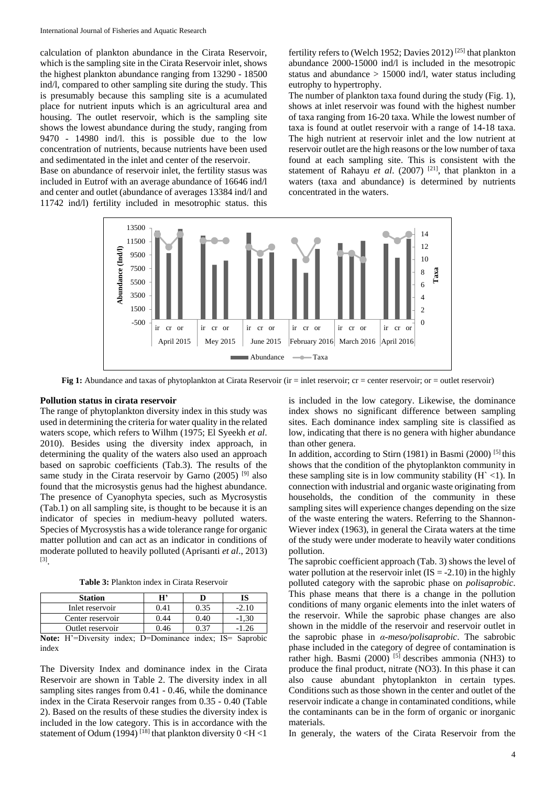calculation of plankton abundance in the Cirata Reservoir, which is the sampling site in the Cirata Reservoir inlet, shows the highest plankton abundance ranging from 13290 - 18500 ind/l, compared to other sampling site during the study. This is presumably because this sampling site is a acumulated place for nutrient inputs which is an agricultural area and housing. The outlet reservoir, which is the sampling site shows the lowest abundance during the study, ranging from 9470 - 14980 ind/l. this is possible due to the low concentration of nutrients, because nutrients have been used and sedimentated in the inlet and center of the reservoir.

Base on abundance of reservoir inlet, the fertility stasus was included in Eutrof with an average abundance of 16646 ind/l and center and outlet (abundance of averages 13384 ind/l and 11742 ind/l) fertility included in mesotrophic status. this

fertility refers to (Welch 1952; Davies 2012) [25] that plankton abundance 2000-15000 ind/l is included in the mesotropic status and abundance > 15000 ind/l, water status including eutrophy to hypertrophy.

The number of plankton taxa found during the study (Fig. 1), shows at inlet reservoir was found with the highest number of taxa ranging from 16-20 taxa. While the lowest number of taxa is found at outlet reservoir with a range of 14-18 taxa. The high nutrient at reservoir inlet and the low nutrient at reservoir outlet are the high reasons or the low number of taxa found at each sampling site. This is consistent with the statement of Rahayu *et al.* (2007)<sup>[21]</sup>, that plankton in a waters (taxa and abundance) is determined by nutrients concentrated in the waters.



**Fig 1:** Abundance and taxas of phytoplankton at Cirata Reservoir (ir = inlet reservoir; cr = center reservoir; or = outlet reservoir)

#### **Pollution status in cirata reservoir**

The range of phytoplankton diversity index in this study was used in determining the criteria for water quality in the related waters scope, which refers to Wilhm (1975; El Syeekh *et al*. 2010). Besides using the diversity index approach, in determining the quality of the waters also used an approach based on saprobic coefficients (Tab.3). The results of the same study in the Cirata reservoir by Garno  $(2005)$ <sup>[9]</sup> also found that the microsystis genus had the highest abundance. The presence of Cyanophyta species, such as Mycrosystis (Tab.1) on all sampling site, is thought to be because it is an indicator of species in medium-heavy polluted waters. Species of Mycrosystis has a wide tolerance range for organic matter pollution and can act as an indicator in conditions of moderate polluted to heavily polluted (Aprisanti *et al*., 2013) [3] .

**Table 3:** Plankton index in Cirata Reservoir

| <b>Station</b>   | н,   |      |  |
|------------------|------|------|--|
| Inlet reservoir  | ገ 41 | 0.35 |  |
| Center reservoir | ).44 | ን 40 |  |
| Outlet reservoir | ነ 46 |      |  |

**Note:** H'=Diversity index; D=Dominance index; IS= Saprobic index

The Diversity Index and dominance index in the Cirata Reservoir are shown in Table 2. The diversity index in all sampling sites ranges from 0.41 - 0.46, while the dominance index in the Cirata Reservoir ranges from 0.35 - 0.40 (Table 2). Based on the results of these studies the diversity index is included in the low category. This is in accordance with the statement of Odum (1994) <sup>[18]</sup> that plankton diversity  $0 < H < 1$ 

is included in the low category. Likewise, the dominance index shows no significant difference between sampling sites. Each dominance index sampling site is classified as low, indicating that there is no genera with higher abundance than other genera.

In addition, according to Stirn (1981) in Basmi (2000) [5] this shows that the condition of the phytoplankton community in these sampling site is in low community stability  $(H \le 1)$ . In connection with industrial and organic waste originating from households, the condition of the community in these sampling sites will experience changes depending on the size of the waste entering the waters. Referring to the Shannon-Wiever index (1963), in general the Cirata waters at the time of the study were under moderate to heavily water conditions pollution.

The saprobic coefficient approach (Tab. 3) shows the level of water pollution at the reservoir inlet  $(IS = -2.10)$  in the highly polluted category with the saprobic phase on *polisaprobic*. This phase means that there is a change in the pollution conditions of many organic elements into the inlet waters of the reservoir. While the saprobic phase changes are also shown in the middle of the reservoir and reservoir outlet in the saprobic phase in *α-meso/polisaprobic*. The sabrobic phase included in the category of degree of contamination is rather high. Basmi  $(2000)$ <sup>[5]</sup> describes ammonia (NH3) to produce the final product, nitrate (NO3). In this phase it can also cause abundant phytoplankton in certain types. Conditions such as those shown in the center and outlet of the reservoir indicate a change in contaminated conditions, while the contaminants can be in the form of organic or inorganic materials.

In generaly, the waters of the Cirata Reservoir from the